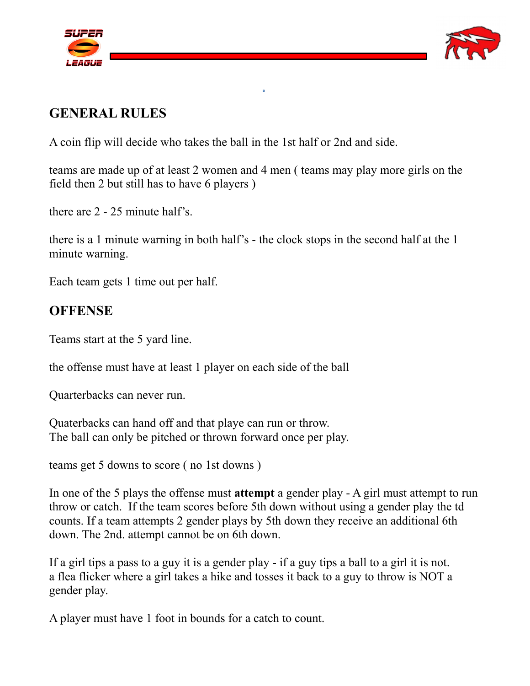



# **GENERAL RULES**

A coin flip will decide who takes the ball in the 1st half or 2nd and side.

teams are made up of at least 2 women and 4 men ( teams may play more girls on the field then 2 but still has to have 6 players )

there are 2 - 25 minute half's.

there is a 1 minute warning in both half's - the clock stops in the second half at the 1 minute warning.

Each team gets 1 time out per half.

# **OFFENSE**

Teams start at the 5 yard line.

the offense must have at least 1 player on each side of the ball

Quarterbacks can never run.

Quaterbacks can hand off and that playe can run or throw. The ball can only be pitched or thrown forward once per play.

teams get 5 downs to score ( no 1st downs )

In one of the 5 plays the offense must **attempt** a gender play - A girl must attempt to run throw or catch. If the team scores before 5th down without using a gender play the td counts. If a team attempts 2 gender plays by 5th down they receive an additional 6th down. The 2nd. attempt cannot be on 6th down.

If a girl tips a pass to a guy it is a gender play - if a guy tips a ball to a girl it is not. a flea flicker where a girl takes a hike and tosses it back to a guy to throw is NOT a gender play.

A player must have 1 foot in bounds for a catch to count.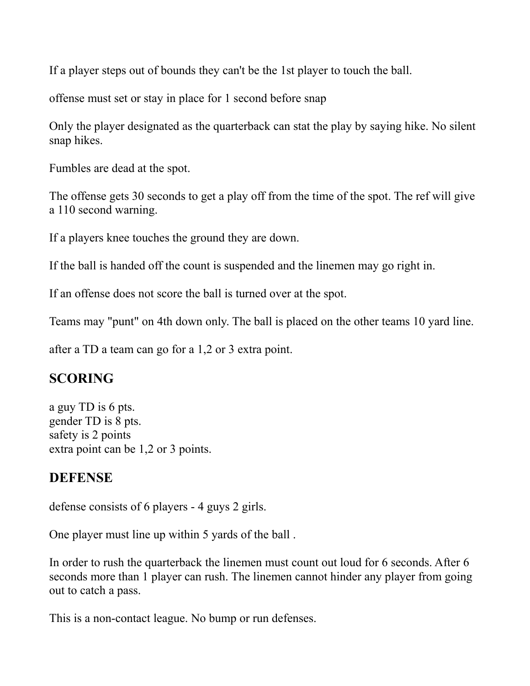If a player steps out of bounds they can't be the 1st player to touch the ball.

offense must set or stay in place for 1 second before snap

Only the player designated as the quarterback can stat the play by saying hike. No silent snap hikes.

Fumbles are dead at the spot.

The offense gets 30 seconds to get a play off from the time of the spot. The ref will give a 110 second warning.

If a players knee touches the ground they are down.

If the ball is handed off the count is suspended and the linemen may go right in.

If an offense does not score the ball is turned over at the spot.

Teams may "punt" on 4th down only. The ball is placed on the other teams 10 yard line.

after a TD a team can go for a 1,2 or 3 extra point.

## **SCORING**

a guy TD is 6 pts. gender TD is 8 pts. safety is 2 points extra point can be 1,2 or 3 points.

## **DEFENSE**

defense consists of 6 players - 4 guys 2 girls.

One player must line up within 5 yards of the ball .

In order to rush the quarterback the linemen must count out loud for 6 seconds. After 6 seconds more than 1 player can rush. The linemen cannot hinder any player from going out to catch a pass.

This is a non-contact league. No bump or run defenses.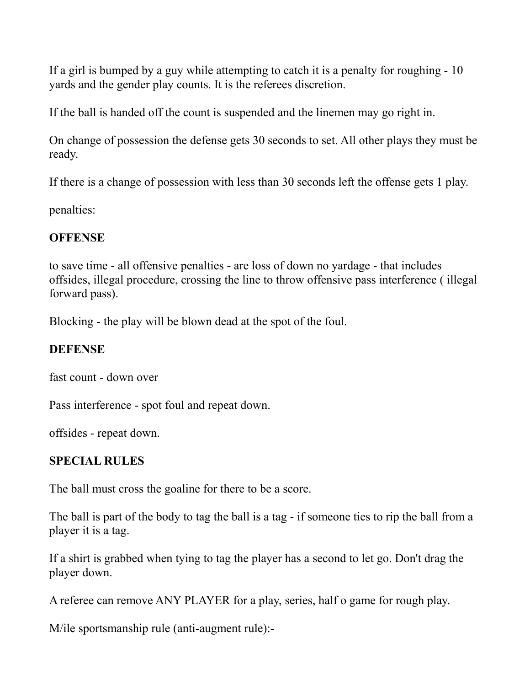If a girl is bumped by a guy while attempting to catch it is a penalty for roughing - 10 yards and the gender play counts. It is the referees discretion.

If the ball is handed off the count is suspended and the linemen may go right in.

On change of possession the defense gets 30 seconds to set. All other plays they must be ready.

If there is a change of possession with less than 30 seconds left the offense gets 1 play.

penalties:

## **OFFENSE**

to save time - all offensive penalties - are loss of down no yardage - that includes offsides, illegal procedure, crossing the line to throw offensive pass interference ( illegal forward pass).

Blocking - the play will be blown dead at the spot of the foul.

## **DEFENSE**

fast count - down over

Pass interference - spot foul and repeat down.

offsides - repeat down.

## **SPECIAL RULES**

The ball must cross the goaline for there to be a score.

The ball is part of the body to tag the ball is a tag - if someone ties to rip the ball from a player it is a tag.

If a shirt is grabbed when tying to tag the player has a second to let go. Don't drag the player down.

A referee can remove ANY PLAYER for a play, series, half o game for rough play.

M/ile sportsmanship rule (anti-augment rule):-